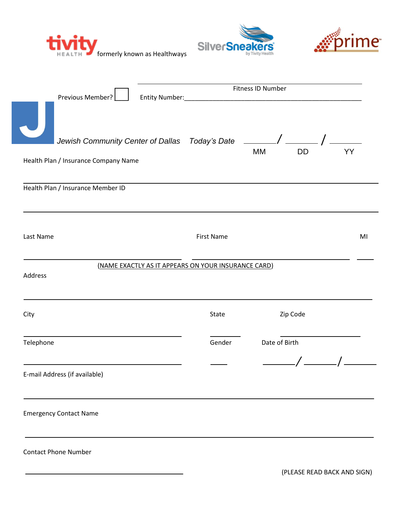





|                                                                | Fitness ID Number<br>Previous Member?<br>Entity Number:                   |  |                   |               |           |    |  |
|----------------------------------------------------------------|---------------------------------------------------------------------------|--|-------------------|---------------|-----------|----|--|
|                                                                | Jewish Community Center of Dallas Today's Date _______                    |  |                   | <b>MM</b>     | <b>DD</b> | YY |  |
|                                                                | Health Plan / Insurance Company Name<br>Health Plan / Insurance Member ID |  |                   |               |           |    |  |
|                                                                |                                                                           |  |                   |               |           |    |  |
| Last Name                                                      |                                                                           |  | <b>First Name</b> |               |           | MI |  |
| (NAME EXACTLY AS IT APPEARS ON YOUR INSURANCE CARD)<br>Address |                                                                           |  |                   |               |           |    |  |
| City                                                           |                                                                           |  | State             |               | Zip Code  |    |  |
| Telephone                                                      |                                                                           |  | Gender            | Date of Birth |           |    |  |
|                                                                | E-mail Address (if available)                                             |  |                   |               |           |    |  |
|                                                                | <b>Emergency Contact Name</b>                                             |  |                   |               |           |    |  |
|                                                                | <b>Contact Phone Number</b>                                               |  |                   |               |           |    |  |

(PLEASE READ BACK AND SIGN)